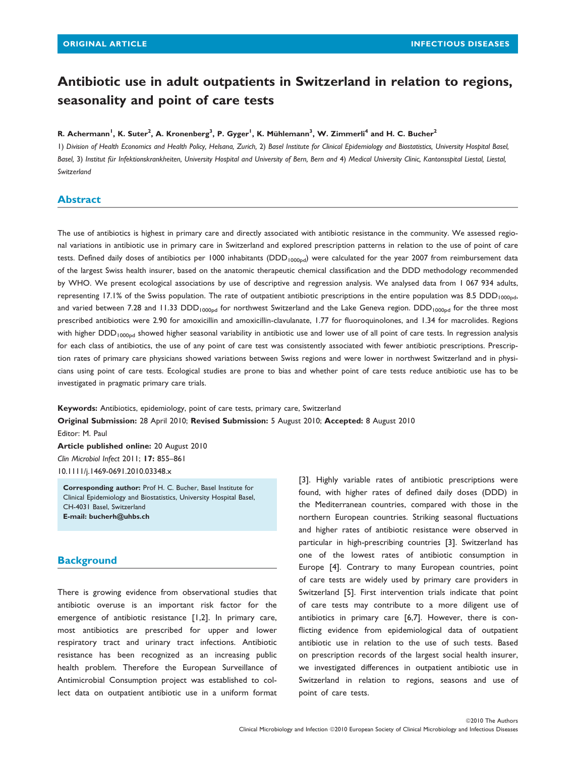# Antibiotic use in adult outpatients in Switzerland in relation to regions, seasonality and point of care tests

## R. Achermann<sup>I</sup>, K. Suter<sup>2</sup>, A. Kronenberg<sup>3</sup>, P. Gyger<sup>I</sup>, K. Mühlemann<sup>3</sup>, W. Zimmerli<sup>4</sup> and H. C. Bucher<sup>2</sup>

1) Division of Health Economics and Health Policy, Helsana, Zurich, 2) Basel Institute for Clinical Epidemiology and Biostatistics, University Hospital Basel, Basel, 3) Institut für Infektionskrankheiten, University Hospital and University of Bern, Bern and 4) Medical University Clinic, Kantonsspital Liestal, Liestal, Switzerland

# Abstract

The use of antibiotics is highest in primary care and directly associated with antibiotic resistance in the community. We assessed regional variations in antibiotic use in primary care in Switzerland and explored prescription patterns in relation to the use of point of care tests. Defined daily doses of antibiotics per 1000 inhabitants (DDD<sub>1000od</sub>) were calculated for the year 2007 from reimbursement data of the largest Swiss health insurer, based on the anatomic therapeutic chemical classification and the DDD methodology recommended by WHO. We present ecological associations by use of descriptive and regression analysis. We analysed data from 1 067 934 adults, representing 17.1% of the Swiss population. The rate of outpatient antibiotic prescriptions in the entire population was 8.5 DDD<sub>1000pd</sub>, and varied between 7.28 and 11.33 DDD<sub>1000pd</sub> for northwest Switzerland and the Lake Geneva region. DDD<sub>1000pd</sub> for the three most prescribed antibiotics were 2.90 for amoxicillin and amoxicillin-clavulanate, 1.77 for fluoroquinolones, and 1.34 for macrolides. Regions with higher DDD<sub>1000pd</sub> showed higher seasonal variability in antibiotic use and lower use of all point of care tests. In regression analysis for each class of antibiotics, the use of any point of care test was consistently associated with fewer antibiotic prescriptions. Prescription rates of primary care physicians showed variations between Swiss regions and were lower in northwest Switzerland and in physicians using point of care tests. Ecological studies are prone to bias and whether point of care tests reduce antibiotic use has to be investigated in pragmatic primary care trials.

Keywords: Antibiotics, epidemiology, point of care tests, primary care, Switzerland Original Submission: 28 April 2010; Revised Submission: 5 August 2010; Accepted: 8 August 2010 Editor: M. Paul Article published online: 20 August 2010 Clin Microbiol Infect 2011; 17: 855–861 10.1111/j.1469-0691.2010.03348.x

Corresponding author: Prof H. C. Bucher, Basel Institute for Clinical Epidemiology and Biostatistics, University Hospital Basel, CH-4031 Basel, Switzerland E-mail: bucherh@uhbs.ch

## **Background**

There is growing evidence from observational studies that antibiotic overuse is an important risk factor for the emergence of antibiotic resistance [1,2]. In primary care, most antibiotics are prescribed for upper and lower respiratory tract and urinary tract infections. Antibiotic resistance has been recognized as an increasing public health problem. Therefore the European Surveillance of Antimicrobial Consumption project was established to collect data on outpatient antibiotic use in a uniform format

[3]. Highly variable rates of antibiotic prescriptions were found, with higher rates of defined daily doses (DDD) in the Mediterranean countries, compared with those in the northern European countries. Striking seasonal fluctuations and higher rates of antibiotic resistance were observed in particular in high-prescribing countries [3]. Switzerland has one of the lowest rates of antibiotic consumption in Europe [4]. Contrary to many European countries, point of care tests are widely used by primary care providers in Switzerland [5]. First intervention trials indicate that point of care tests may contribute to a more diligent use of antibiotics in primary care [6,7]. However, there is conflicting evidence from epidemiological data of outpatient antibiotic use in relation to the use of such tests. Based on prescription records of the largest social health insurer, we investigated differences in outpatient antibiotic use in Switzerland in relation to regions, seasons and use of point of care tests.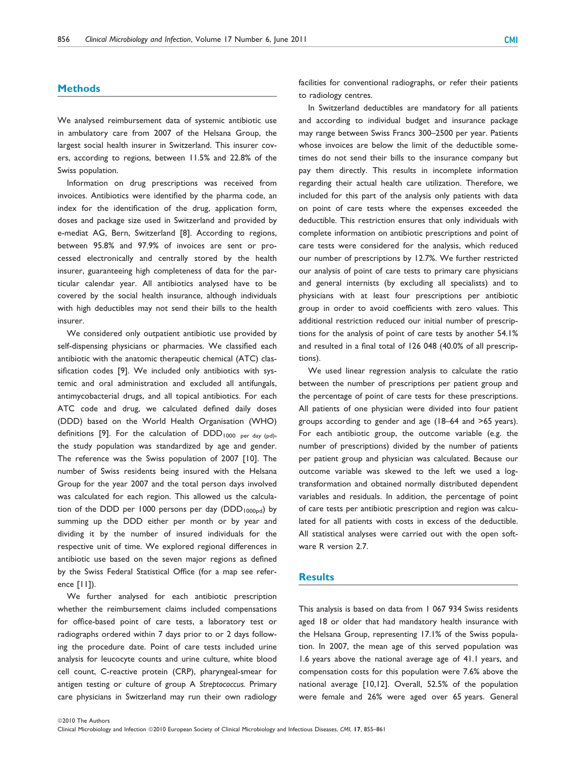# **Methods**

We analysed reimbursement data of systemic antibiotic use in ambulatory care from 2007 of the Helsana Group, the largest social health insurer in Switzerland. This insurer covers, according to regions, between 11.5% and 22.8% of the Swiss population.

Information on drug prescriptions was received from invoices. Antibiotics were identified by the pharma code, an index for the identification of the drug, application form, doses and package size used in Switzerland and provided by e-mediat AG, Bern, Switzerland [8]. According to regions, between 95.8% and 97.9% of invoices are sent or processed electronically and centrally stored by the health insurer, guaranteeing high completeness of data for the particular calendar year. All antibiotics analysed have to be covered by the social health insurance, although individuals with high deductibles may not send their bills to the health insurer.

We considered only outpatient antibiotic use provided by self-dispensing physicians or pharmacies. We classified each antibiotic with the anatomic therapeutic chemical (ATC) classification codes [9]. We included only antibiotics with systemic and oral administration and excluded all antifungals, antimycobacterial drugs, and all topical antibiotics. For each ATC code and drug, we calculated defined daily doses (DDD) based on the World Health Organisation (WHO) definitions [9]. For the calculation of  $DDD_{1000\text{ per day (pd)}}$ , the study population was standardized by age and gender. The reference was the Swiss population of 2007 [10]. The number of Swiss residents being insured with the Helsana Group for the year 2007 and the total person days involved was calculated for each region. This allowed us the calculation of the DDD per 1000 persons per day (DDD $_{1000pd}$ ) by summing up the DDD either per month or by year and dividing it by the number of insured individuals for the respective unit of time. We explored regional differences in antibiotic use based on the seven major regions as defined by the Swiss Federal Statistical Office (for a map see reference [11]).

We further analysed for each antibiotic prescription whether the reimbursement claims included compensations for office-based point of care tests, a laboratory test or radiographs ordered within 7 days prior to or 2 days following the procedure date. Point of care tests included urine analysis for leucocyte counts and urine culture, white blood cell count, C-reactive protein (CRP), pharyngeal-smear for antigen testing or culture of group A Streptococcus. Primary care physicians in Switzerland may run their own radiology

facilities for conventional radiographs, or refer their patients to radiology centres.

In Switzerland deductibles are mandatory for all patients and according to individual budget and insurance package may range between Swiss Francs 300–2500 per year. Patients whose invoices are below the limit of the deductible sometimes do not send their bills to the insurance company but pay them directly. This results in incomplete information regarding their actual health care utilization. Therefore, we included for this part of the analysis only patients with data on point of care tests where the expenses exceeded the deductible. This restriction ensures that only individuals with complete information on antibiotic prescriptions and point of care tests were considered for the analysis, which reduced our number of prescriptions by 12.7%. We further restricted our analysis of point of care tests to primary care physicians and general internists (by excluding all specialists) and to physicians with at least four prescriptions per antibiotic group in order to avoid coefficients with zero values. This additional restriction reduced our initial number of prescriptions for the analysis of point of care tests by another 54.1% and resulted in a final total of 126 048 (40.0% of all prescriptions).

We used linear regression analysis to calculate the ratio between the number of prescriptions per patient group and the percentage of point of care tests for these prescriptions. All patients of one physician were divided into four patient groups according to gender and age (18–64 and >65 years). For each antibiotic group, the outcome variable (e.g. the number of prescriptions) divided by the number of patients per patient group and physician was calculated. Because our outcome variable was skewed to the left we used a logtransformation and obtained normally distributed dependent variables and residuals. In addition, the percentage of point of care tests per antibiotic prescription and region was calculated for all patients with costs in excess of the deductible. All statistical analyses were carried out with the open software R version 2.7.

## **Results**

This analysis is based on data from 1 067 934 Swiss residents aged 18 or older that had mandatory health insurance with the Helsana Group, representing 17.1% of the Swiss population. In 2007, the mean age of this served population was 1.6 years above the national average age of 41.1 years, and compensation costs for this population were 7.6% above the national average [10,12]. Overall, 52.5% of the population were female and 26% were aged over 65 years. General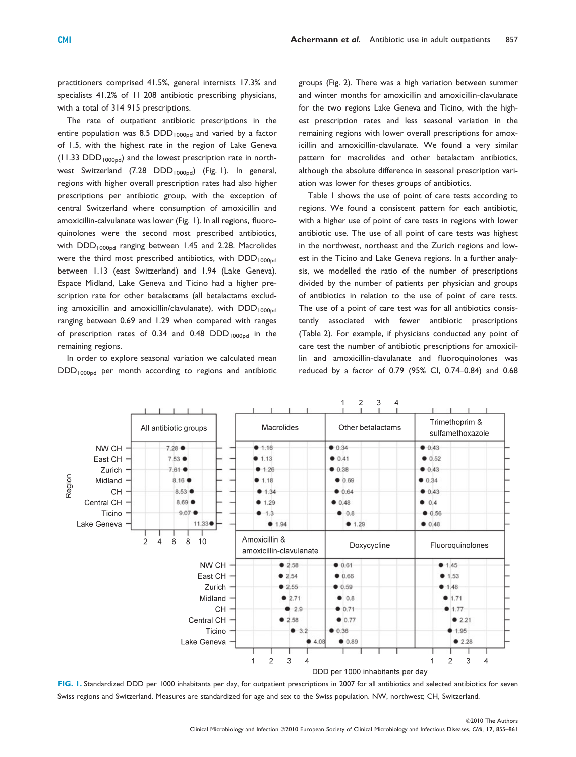practitioners comprised 41.5%, general internists 17.3% and specialists 41.2% of 11 208 antibiotic prescribing physicians, with a total of 314 915 prescriptions.

The rate of outpatient antibiotic prescriptions in the entire population was 8.5 DDD<sub>1000pd</sub> and varied by a factor of 1.5, with the highest rate in the region of Lake Geneva  $(11.33 \text{ DDD}_{1000\text{od}})$  and the lowest prescription rate in northwest Switzerland (7.28 DDD<sub>1000pd</sub>) (Fig. 1). In general, regions with higher overall prescription rates had also higher prescriptions per antibiotic group, with the exception of central Switzerland where consumption of amoxicillin and amoxicillin-calvulanate was lower (Fig. 1). In all regions, fluoroquinolones were the second most prescribed antibiotics, with DDD<sub>1000pd</sub> ranging between 1.45 and 2.28. Macrolides were the third most prescribed antibiotics, with  $DD_{1000pd}$ between 1.13 (east Switzerland) and 1.94 (Lake Geneva). Espace Midland, Lake Geneva and Ticino had a higher prescription rate for other betalactams (all betalactams excluding amoxicillin and amoxicillin/clavulanate), with  $DD_{1000pd}$ ranging between 0.69 and 1.29 when compared with ranges of prescription rates of 0.34 and 0.48  $DDD<sub>1000pd</sub>$  in the remaining regions.

In order to explore seasonal variation we calculated mean DDD1000pd per month according to regions and antibiotic groups (Fig. 2). There was a high variation between summer and winter months for amoxicillin and amoxicillin-clavulanate for the two regions Lake Geneva and Ticino, with the highest prescription rates and less seasonal variation in the remaining regions with lower overall prescriptions for amoxicillin and amoxicillin-clavulanate. We found a very similar pattern for macrolides and other betalactam antibiotics, although the absolute difference in seasonal prescription variation was lower for theses groups of antibiotics.

Table 1 shows the use of point of care tests according to regions. We found a consistent pattern for each antibiotic, with a higher use of point of care tests in regions with lower antibiotic use. The use of all point of care tests was highest in the northwest, northeast and the Zurich regions and lowest in the Ticino and Lake Geneva regions. In a further analysis, we modelled the ratio of the number of prescriptions divided by the number of patients per physician and groups of antibiotics in relation to the use of point of care tests. The use of a point of care test was for all antibiotics consistently associated with fewer antibiotic prescriptions (Table 2). For example, if physicians conducted any point of care test the number of antibiotic prescriptions for amoxicillin and amoxicillin-clavulanate and fluoroquinolones was reduced by a factor of 0.79 (95% CI, 0.74–0.84) and 0.68



FIG. 1. Standardized DDD per 1000 inhabitants per day, for outpatient prescriptions in 2007 for all antibiotics and selected antibiotics for seven Swiss regions and Switzerland. Measures are standardized for age and sex to the Swiss population. NW, northwest; CH, Switzerland.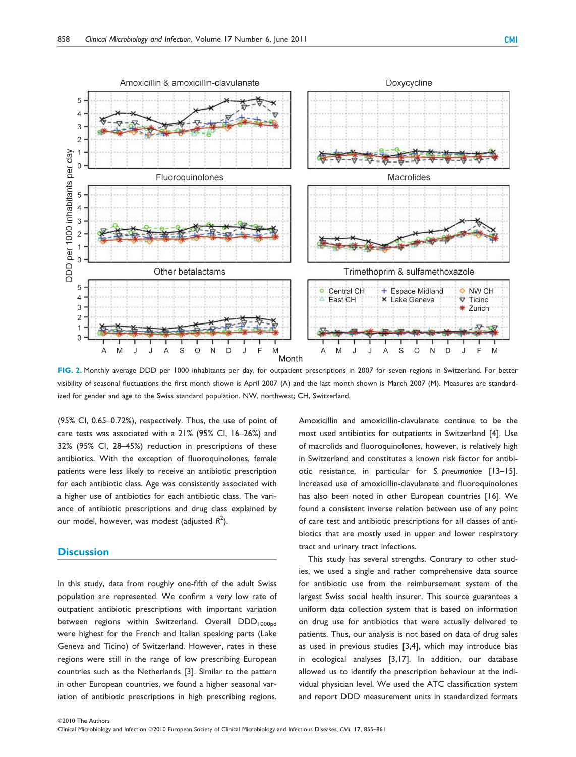

FIG. 2. Monthly average DDD per 1000 inhabitants per day, for outpatient prescriptions in 2007 for seven regions in Switzerland. For better visibility of seasonal fluctuations the first month shown is April 2007 (A) and the last month shown is March 2007 (M). Measures are standardized for gender and age to the Swiss standard population. NW, northwest; CH, Switzerland.

(95% CI, 0.65–0.72%), respectively. Thus, the use of point of care tests was associated with a 21% (95% CI, 16–26%) and 32% (95% CI, 28–45%) reduction in prescriptions of these antibiotics. With the exception of fluoroquinolones, female patients were less likely to receive an antibiotic prescription for each antibiotic class. Age was consistently associated with a higher use of antibiotics for each antibiotic class. The variance of antibiotic prescriptions and drug class explained by our model, however, was modest (adjusted  $R^2$ ).

## **Discussion**

In this study, data from roughly one-fifth of the adult Swiss population are represented. We confirm a very low rate of outpatient antibiotic prescriptions with important variation between regions within Switzerland. Overall DDD<sub>1000pd</sub> were highest for the French and Italian speaking parts (Lake Geneva and Ticino) of Switzerland. However, rates in these regions were still in the range of low prescribing European countries such as the Netherlands [3]. Similar to the pattern in other European countries, we found a higher seasonal variation of antibiotic prescriptions in high prescribing regions.

Amoxicillin and amoxicillin-clavulanate continue to be the most used antibiotics for outpatients in Switzerland [4]. Use of macrolids and fluoroquinolones, however, is relatively high in Switzerland and constitutes a known risk factor for antibiotic resistance, in particular for S. pneumoniae [13–15]. Increased use of amoxicillin-clavulanate and fluoroquinolones has also been noted in other European countries [16]. We found a consistent inverse relation between use of any point of care test and antibiotic prescriptions for all classes of antibiotics that are mostly used in upper and lower respiratory tract and urinary tract infections.

This study has several strengths. Contrary to other studies, we used a single and rather comprehensive data source for antibiotic use from the reimbursement system of the largest Swiss social health insurer. This source guarantees a uniform data collection system that is based on information on drug use for antibiotics that were actually delivered to patients. Thus, our analysis is not based on data of drug sales as used in previous studies [3,4], which may introduce bias in ecological analyses [3,17]. In addition, our database allowed us to identify the prescription behaviour at the individual physician level. We used the ATC classification system and report DDD measurement units in standardized formats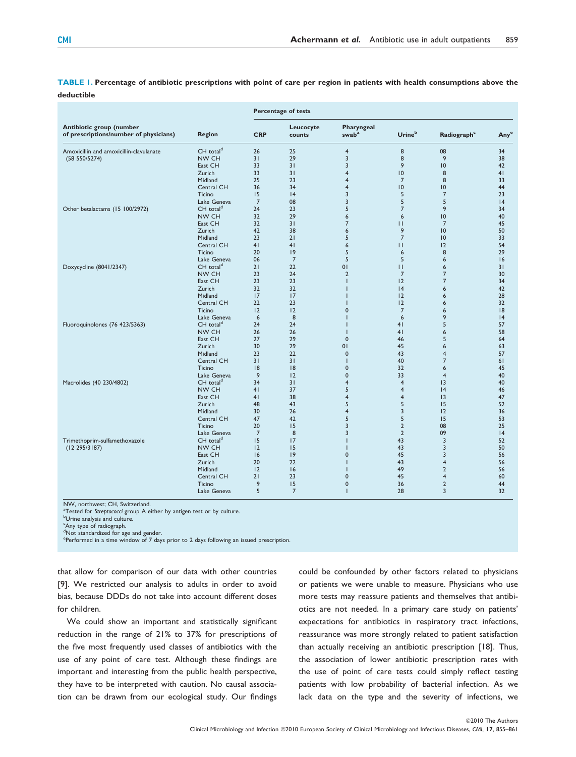|                                                                    | <b>Region</b>                        | <b>Percentage of tests</b> |                     |                                 |                      |                         |                  |  |
|--------------------------------------------------------------------|--------------------------------------|----------------------------|---------------------|---------------------------------|----------------------|-------------------------|------------------|--|
| Antibiotic group (number<br>of prescriptions/number of physicians) |                                      | <b>CRP</b>                 | Leucocyte<br>counts | Pharyngeal<br>swab <sup>a</sup> | Urineb               | Radiograph <sup>c</sup> | Any <sup>e</sup> |  |
| Amoxicillin and amoxicillin-clavulanate<br>(58 550/5274)           | CH total <sup>d</sup>                | 26                         | 25                  | $\overline{4}$                  | 8                    | 08                      | 34               |  |
|                                                                    | NW CH                                | 31                         | 29                  | 3                               | 8                    | 9                       | 38               |  |
|                                                                    | East CH                              | 33                         | 31                  | $\overline{3}$                  | 9                    | 0                       | 42               |  |
|                                                                    | <b>Zurich</b>                        | 33                         | 31                  | $\overline{4}$                  | 10                   | 8                       | 41               |  |
|                                                                    | Midland                              | 25                         | 23                  | $\overline{4}$                  | $\overline{7}$       | 8                       | 33               |  |
|                                                                    | Central CH                           | 36                         | 34                  | $\overline{4}$                  | 10                   | 10                      | 44               |  |
|                                                                    | Ticino                               | 15                         | 4                   | 3                               | 5                    | $\overline{7}$          | 23               |  |
|                                                                    | Lake Geneva                          | $\overline{7}$             | 08                  | 3                               | 5                    | 5                       | 4                |  |
| Other betalactams (15 100/2972)                                    | CH total <sup>d</sup>                | 24                         | 23                  | 5                               | $7\overline{ }$      | 9                       | 34               |  |
|                                                                    | NW CH                                | 32                         | 29                  | 6                               | $\boldsymbol{6}$     | 0                       | 40               |  |
|                                                                    | East CH                              | 32                         | 31                  | $\overline{7}$                  | $\mathbf{H}$         | $\overline{7}$          | 45               |  |
|                                                                    | Zurich                               | 42                         | 38                  | 6                               | 9                    | 0                       | 50               |  |
|                                                                    | Midland                              | 23                         | 21                  | 5                               | $\overline{7}$       | 0                       | 33               |  |
|                                                                    | Central CH                           | 41                         | 41                  | $\boldsymbol{6}$                | $\mathbf{H}$         | 12                      | 54               |  |
|                                                                    | Ticino                               | 20                         | 9                   | 5                               | $\boldsymbol{6}$     | 8                       | 29               |  |
|                                                                    | Lake Geneva                          | 06                         | $7\overline{ }$     | 5                               | 5                    | $6\overline{6}$         | 16               |  |
| Doxycycline (8041/2347)                                            | CH total <sup>d</sup>                | 21                         | 22                  | 0 <sub>1</sub>                  | $\mathbf{H}$         | 6                       | 31               |  |
|                                                                    | NW CH                                | 23                         | 24                  | $\overline{2}$                  | $7\overline{ }$      | $\overline{7}$          | 30               |  |
|                                                                    | East CH                              | 23                         | 23                  | п                               | 2                    | $\overline{7}$          | 34               |  |
|                                                                    | Zurich                               | 32                         | 32                  |                                 | 4                    | 6                       | 42               |  |
|                                                                    | Midland                              | 17                         | 17                  |                                 | 12                   | 6                       | 28               |  |
|                                                                    | Central CH                           | 22                         | 23                  |                                 | 12                   | 6                       | 32               |  |
|                                                                    | Ticino                               | 12                         | 12                  | $\mathbf{0}$                    | $\overline{7}$       | 6                       | 8                |  |
|                                                                    | Lake Geneva                          | 6                          | 8                   |                                 | 6                    | 9                       | 4                |  |
| Fluoroquinolones (76 423/5363)                                     | CH total <sup>d</sup>                | 24                         | 24                  |                                 | 41                   | 5                       | 57               |  |
|                                                                    | NW CH                                | 26                         | 26                  | ш                               | 41                   | 6                       | 58               |  |
|                                                                    | East CH                              | 27                         | 29                  | $\mathbf 0$                     | 46                   | 5                       | 64               |  |
|                                                                    | Zurich                               | 30                         | 29                  | 0 <sub>1</sub>                  | 45                   | $\boldsymbol{6}$        | 63               |  |
|                                                                    | Midland                              | 23                         | 22                  | $\mathbf 0$                     | 43                   | $\overline{\mathbf{4}}$ | 57               |  |
|                                                                    | Central CH                           | 31                         | 31                  | п                               | 40                   | $\overline{7}$          | 61               |  |
|                                                                    | Ticino                               | 8                          | 8                   | $\mathbf 0$                     | 32                   | $\boldsymbol{6}$        |                  |  |
|                                                                    |                                      | 9                          |                     | $\mathbf 0$                     |                      |                         | 45               |  |
|                                                                    | Lake Geneva<br>CH total <sup>d</sup> |                            | 2<br>31             | $\overline{4}$                  | 33<br>$\overline{4}$ | $\overline{4}$          | 40               |  |
| Macrolides (40 230/4802)                                           |                                      | 34                         |                     |                                 |                      | 3                       | 40               |  |
|                                                                    | NW CH                                | 41                         | 37                  | 5                               | $\overline{4}$       | 4                       | 46               |  |
|                                                                    | East CH                              | 41                         | 38                  | $\overline{4}$                  | $\overline{4}$       | 3                       | 47               |  |
|                                                                    | Zurich                               | 48                         | 43                  | 5                               | 5                    | 15                      | 52               |  |
|                                                                    | Midland                              | 30                         | 26                  | $\overline{4}$                  | $\overline{3}$       | 12                      | 36               |  |
|                                                                    | Central CH                           | 47                         | 42                  | 5                               | 5                    | 15                      | 53               |  |
|                                                                    | Ticino                               | 20                         | 15                  | $\overline{3}$                  | $\overline{2}$       | 08                      | 25               |  |
|                                                                    | Lake Geneva                          | $\overline{7}$             | 8                   | $\overline{3}$                  | $\overline{2}$       | 09                      | 4                |  |
| Trimethoprim-sulfamethoxazole<br>(12 295/3187)                     | $CH$ total <sup>d</sup>              | 15                         | 17                  | п                               | 43                   | 3                       | 52               |  |
|                                                                    | NW CH                                | 12                         | 15                  |                                 | 43                   | $\overline{3}$          | 50               |  |
|                                                                    | East CH                              | 16                         | 9                   | $\mathbf{0}$                    | 45                   | $\overline{3}$          | 56               |  |
|                                                                    | <b>Zurich</b>                        | 20                         | 22                  |                                 | 43                   | $\overline{4}$          | 56               |  |
|                                                                    | Midland                              | 12                         | 16                  | п                               | 49                   | $\overline{2}$          | 56               |  |
|                                                                    | Central CH                           | 21                         | 23                  | $\mathbf 0$                     | 45                   | $\overline{4}$          | 60               |  |
|                                                                    | Ticino                               | 9                          | 15                  | $\mathbf 0$                     | 36                   | $\overline{2}$          | 44               |  |
|                                                                    | Lake Geneva                          | 5                          | $\overline{7}$      | п                               | 28                   | $\overline{\mathbf{3}}$ | 32               |  |

TABLE 1. Percentage of antibiotic prescriptions with point of care per region in patients with health consumptions above the deductible

NW, northwest; CH, Switzerland.

<sup>a</sup> Tested for *Streptococci* group A either by antigen test or by culture.<br><sup>b</sup>l lrine analysis and culture

**Urine analysis and culture.** 

Any type of radiograph.

d Not standardized for age and gender.

<sup>e</sup>Performed in a time window of 7 days prior to 2 days following an issued prescription.

that allow for comparison of our data with other countries [9]. We restricted our analysis to adults in order to avoid bias, because DDDs do not take into account different doses for children.

We could show an important and statistically significant reduction in the range of 21% to 37% for prescriptions of the five most frequently used classes of antibiotics with the use of any point of care test. Although these findings are important and interesting from the public health perspective, they have to be interpreted with caution. No causal association can be drawn from our ecological study. Our findings

could be confounded by other factors related to physicians or patients we were unable to measure. Physicians who use more tests may reassure patients and themselves that antibiotics are not needed. In a primary care study on patients' expectations for antibiotics in respiratory tract infections, reassurance was more strongly related to patient satisfaction than actually receiving an antibiotic prescription [18]. Thus, the association of lower antibiotic prescription rates with the use of point of care tests could simply reflect testing patients with low probability of bacterial infection. As we lack data on the type and the severity of infections, we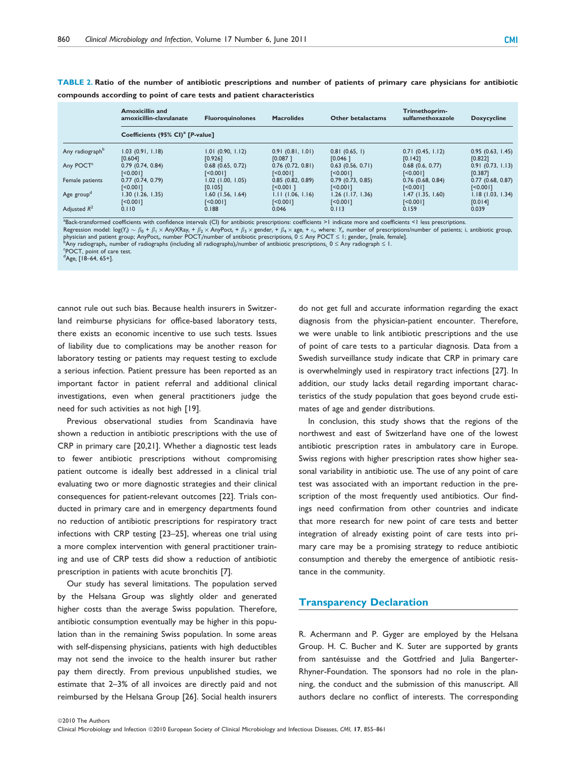|                             | <b>Amoxicillin and</b><br>amoxicillin-clavulanate | <b>Fluoroguinolones</b> | <b>Macrolides</b>     | <b>Other betalactams</b> | Trimethoprim-<br>sulfamethoxazole | <b>Doxycycline</b>    |  |  |  |  |
|-----------------------------|---------------------------------------------------|-------------------------|-----------------------|--------------------------|-----------------------------------|-----------------------|--|--|--|--|
|                             | Coefficients (95% CI) <sup>a</sup> [P-value]      |                         |                       |                          |                                   |                       |  |  |  |  |
| Any radiograph <sup>b</sup> | $1.03$ (0.91, 1.18)                               | $1.01$ (0.90, $1.12$ )  | 0.91(0.81, 1.01)      | 0.81(0.65, 1)            | 0.71(0.45, 1.12)                  | 0.95(0.63, 1.45)      |  |  |  |  |
|                             | [0.604]                                           | [0.926]                 | [0.087]               | [0.046]                  | [0.142]                           | [0.822]               |  |  |  |  |
| Any POCT <sup>c</sup>       | $0.79$ $(0.74, 0.84)$                             | $0.68$ (0.65, 0.72)     | $0.76$ $(0.72, 0.81)$ | $0.63$ $(0.56, 0.71)$    | $0.68$ (0.6, 0.77)                | 0.91(0.73, 1.13)      |  |  |  |  |
|                             | [50.001]                                          | [50.001]                | [50.001]              | [50.001]                 | [50.001]                          | [0.387]               |  |  |  |  |
| Female patients             | $0.77$ $(0.74, 0.79)$                             | $1.02$ (1.00, 1.05)     | 0.85(0.82, 0.89)      | $0.79$ (0.73, 0.85)      | $0.76$ (0.68, 0.84)               | $0.77$ (0.68, 0.87)   |  |  |  |  |
|                             | [50.001]                                          | [0.105]                 | [<0.001]              | [50.001]                 | [50.001]                          | [50.001]              |  |  |  |  |
| Age group <sup>d</sup>      | $1.30$ (1.26, 1.35)                               | $1.60$ (1.56, 1.64)     | 1.11(1.06, 1.16)      | $1.26$ (1.17, 1.36)      | $1.47$ (1.35, 1.60)               | $1.18$ $(1.03, 1.34)$ |  |  |  |  |
|                             | [50.001]                                          | [50.001]                | [50.001]              | [50.001]                 | [50.001]                          | [0.014]               |  |  |  |  |
| Adjusted $R^2$              | 0.110                                             | 0.188                   | 0.046                 | 0.113                    | 0.159                             | 0.039                 |  |  |  |  |

TABLE 2. Ratio of the number of antibiotic prescriptions and number of patients of primary care physicians for antibiotic compounds according to point of care tests and patient characteristics

<sup>a</sup>Back-transformed coefficients with confidence intervals (CI) for antibiotic prescriptions: coefficients >1 indicate more and coefficients <1 less prescriptions. Regression model: log(Y<sub>i</sub>) ~  $\beta_0$  +  $\beta_1$  × AnyXRay<sub>i</sub> +  $\beta_2$  × AnyPoct, +  $\beta_3$  × gender, +  $\beta_4$  × age<sub>i</sub> +  $\epsilon_{\rm i}$ , where: Y<sub>i</sub>, number of prescriptions/number of patients; i, antibiotic group,

physician and patient group; AnyPoct,, number POCT/number of antibiotic prescriptions; 0 ≤ Any POCT ≤ 1; gender,, [male, female].<br><sup>9</sup>Any radiograph,, number of radiographs (including all radiographs),/number of antibiotic

POCT, point of care test.

 $^{\rm d}$ Age<sub>i</sub> [18–64, 65+].

cannot rule out such bias. Because health insurers in Switzerland reimburse physicians for office-based laboratory tests, there exists an economic incentive to use such tests. Issues of liability due to complications may be another reason for laboratory testing or patients may request testing to exclude a serious infection. Patient pressure has been reported as an important factor in patient referral and additional clinical investigations, even when general practitioners judge the need for such activities as not high [19].

Previous observational studies from Scandinavia have shown a reduction in antibiotic prescriptions with the use of CRP in primary care [20,21]. Whether a diagnostic test leads to fewer antibiotic prescriptions without compromising patient outcome is ideally best addressed in a clinical trial evaluating two or more diagnostic strategies and their clinical consequences for patient-relevant outcomes [22]. Trials conducted in primary care and in emergency departments found no reduction of antibiotic prescriptions for respiratory tract infections with CRP testing [23–25], whereas one trial using a more complex intervention with general practitioner training and use of CRP tests did show a reduction of antibiotic prescription in patients with acute bronchitis [7].

Our study has several limitations. The population served by the Helsana Group was slightly older and generated higher costs than the average Swiss population. Therefore, antibiotic consumption eventually may be higher in this population than in the remaining Swiss population. In some areas with self-dispensing physicians, patients with high deductibles may not send the invoice to the health insurer but rather pay them directly. From previous unpublished studies, we estimate that 2–3% of all invoices are directly paid and not reimbursed by the Helsana Group [26]. Social health insurers

do not get full and accurate information regarding the exact diagnosis from the physician-patient encounter. Therefore, we were unable to link antibiotic prescriptions and the use of point of care tests to a particular diagnosis. Data from a Swedish surveillance study indicate that CRP in primary care is overwhelmingly used in respiratory tract infections [27]. In addition, our study lacks detail regarding important characteristics of the study population that goes beyond crude estimates of age and gender distributions.

In conclusion, this study shows that the regions of the northwest and east of Switzerland have one of the lowest antibiotic prescription rates in ambulatory care in Europe. Swiss regions with higher prescription rates show higher seasonal variability in antibiotic use. The use of any point of care test was associated with an important reduction in the prescription of the most frequently used antibiotics. Our findings need confirmation from other countries and indicate that more research for new point of care tests and better integration of already existing point of care tests into primary care may be a promising strategy to reduce antibiotic consumption and thereby the emergence of antibiotic resistance in the community.

## Transparency Declaration

R. Achermann and P. Gyger are employed by the Helsana Group. H. C. Bucher and K. Suter are supported by grants from santésuisse and the Gottfried and Julia Bangerter-Rhyner-Foundation. The sponsors had no role in the planning, the conduct and the submission of this manuscript. All authors declare no conflict of interests. The corresponding